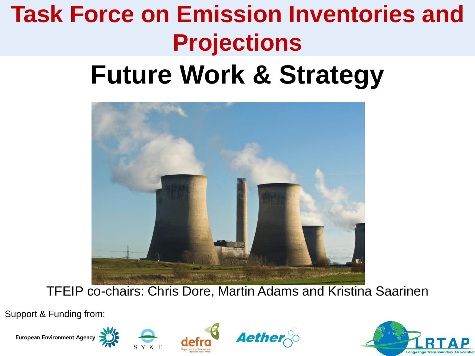# **Task Force on Emission Inventories and Projections**

### **Future Work & Strategy**



TFEIP co-chairs: Chris Dore, Martin Adams and Kristina Saarinen

Support & Funding from:









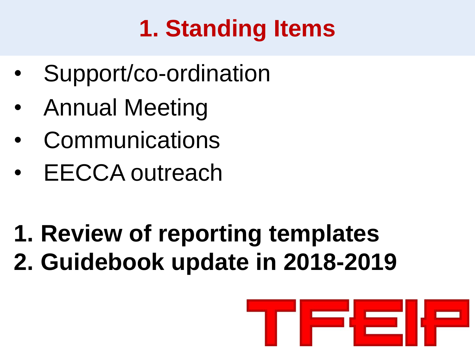# **1. Standing Items**

- Support/co-ordination
- Annual Meeting
- **Communications**
- EECCA outreach
- **1. Review of reporting templates 2. Guidebook update in 2018-2019**

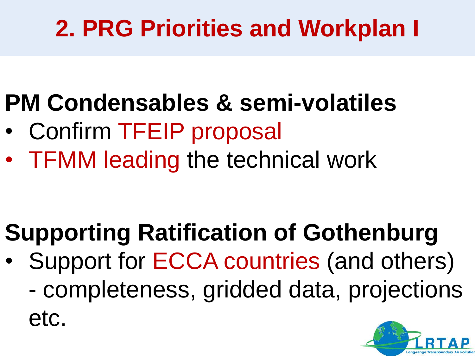## **2. PRG Priorities and Workplan I**

## **PM Condensables & semi-volatiles**

- Confirm TFEIP proposal
- TFMM leading the technical work

# **Supporting Ratification of Gothenburg**

• Support for ECCA countries (and others) - completeness, gridded data, projections etc.

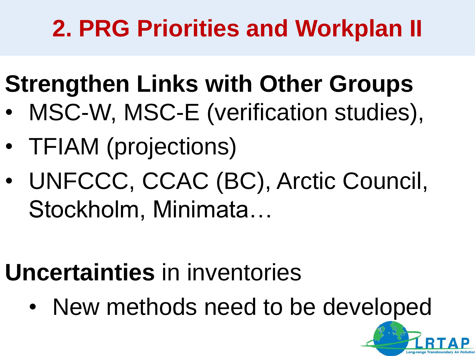## **2. PRG Priorities and Workplan II**

# **Strengthen Links with Other Groups**

- MSC-W, MSC-E (verification studies),
- TFIAM (projections)
- UNFCCC, CCAC (BC), Arctic Council, Stockholm, Minimata…

# **Uncertainties** in inventories

• New methods need to be developed

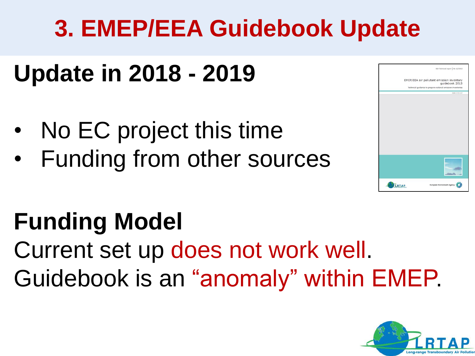## **3. EMEP/EEA Guidebook Update**

#### **Update in 2018 - 2019**

- No EC project this time
- Funding from other sources



### **Funding Model**

Current set up does not work well. Guidebook is an "anomaly" within EMEP.

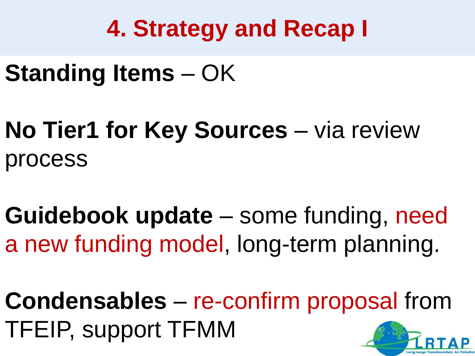### **4. Strategy and Recap I**

- **Standing Items**  OK
- **No Tier1 for Key Sources** via review process
- **Guidebook update**  some funding, need a new funding model, long-term planning.
- **Condensables** re-confirm proposal from TFEIP, support TFMM